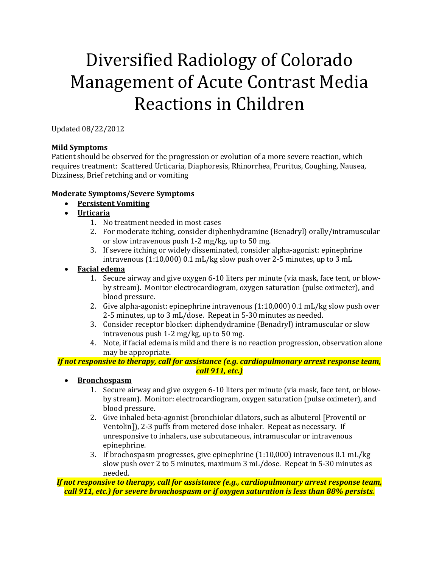# Diversified Radiology of Colorado Management of Acute Contrast Media Reactions in Children

Updated 08/22/2012

# **Mild Symptoms**

Patient should be observed for the progression or evolution of a more severe reaction, which requires treatment: Scattered Urticaria, Diaphoresis, Rhinorrhea, Pruritus, Coughing, Nausea, Dizziness, Brief retching and or vomiting

# **Moderate Symptoms/Severe Symptoms**

- **Persistent Vomiting**
- **Urticaria**
	- 1. No treatment needed in most cases
	- 2. For moderate itching, consider diphenhydramine (Benadryl) orally/intramuscular or slow intravenous push 1-2 mg/kg, up to 50 mg.
	- 3. If severe itching or widely disseminated, consider alpha-agonist: epinephrine intravenous (1:10,000) 0.1 mL/kg slow push over 2-5 minutes, up to 3 mL
- **Facial edema**
	- 1. Secure airway and give oxygen 6-10 liters per minute (via mask, face tent, or blowby stream). Monitor electrocardiogram, oxygen saturation (pulse oximeter), and blood pressure.
	- 2. Give alpha-agonist: epinephrine intravenous (1:10,000) 0.1 mL/kg slow push over 2-5 minutes, up to 3 mL/dose. Repeat in 5-30 minutes as needed.
	- 3. Consider receptor blocker: diphendydramine (Benadryl) intramuscular or slow intravenous push 1-2 mg/kg, up to 50 mg.
	- 4. Note, if facial edema is mild and there is no reaction progression, observation alone may be appropriate.

# *If not responsive to therapy, call for assistance (e.g. cardiopulmonary arrest response team, call 911, etc.)*

- **Bronchospasm**
	- 1. Secure airway and give oxygen 6-10 liters per minute (via mask, face tent, or blowby stream). Monitor: electrocardiogram, oxygen saturation (pulse oximeter), and blood pressure.
	- 2. Give inhaled beta-agonist (bronchiolar dilators, such as albuterol [Proventil or Ventolin]), 2-3 puffs from metered dose inhaler. Repeat as necessary. If unresponsive to inhalers, use subcutaneous, intramuscular or intravenous epinephrine.
	- 3. If brochospasm progresses, give epinephrine (1:10,000) intravenous 0.1 mL/kg slow push over 2 to 5 minutes, maximum 3 mL/dose. Repeat in 5-30 minutes as needed.

*If not responsive to therapy, call for assistance (e.g., cardiopulmonary arrest response team, call 911, etc.) for severe bronchospasm or if oxygen saturation is less than 88% persists.*